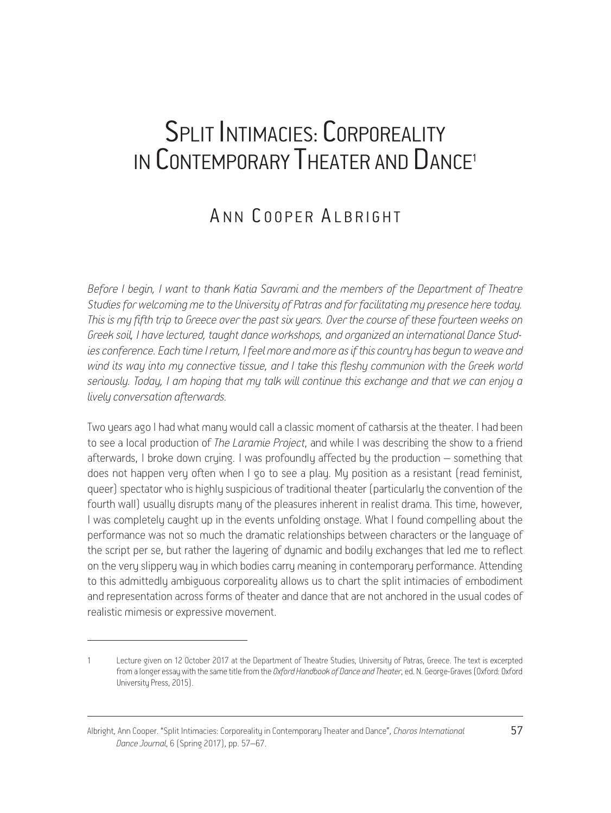## SPLIT INTIMACIES: CORPOREALITY IN CONTEMPORARY THEATER AND DANCE<sup>1</sup>

## ANN COOPER ALBRIGHT

*Before I begin, I want to thank Katia Savrami and the members of the Department of Theatre Studies for welcoming me to the University of Patras and for facilitating my presence here today. This is my fifth trip to Greece over the past six years. Over the course of these fourteen weeks on Greek soil, I have lectured, taught dance workshops, and organized an international Dance Stud*ies conference. Each time I return, I feel more and more as if this country has begun to weave and *wind its way into my connective tissue, and I take this fleshy communion with the Greek world seriously. Today, I am hoping that my talk will continue this exchange and that we can enjoy a lively conversation afterwards.*

Two years ago I had what many would call a classic moment of catharsis at the theater. I had been to see a local production of *The Laramie Project*, and while I was describing the show to a friend afterwards, I broke down crying. I was profoundly affected by the production – something that does not happen very often when I go to see a play. My position as a resistant (read feminist, queer) spectator who is highly suspicious of traditional theater (particularly the convention of the fourth wall) usually disrupts many of the pleasures inherent in realist drama. This time, however, I was completely caught up in the events unfolding onstage. What I found compelling about the performance was not so much the dramatic relationships between characters or the language of the script per se, but rather the layering of dynamic and bodily exchanges that led me to reflect on the very slippery way in which bodies carry meaning in contemporary performance. Attending to this admittedly ambiguous corporeality allows us to chart the split intimacies of embodiment and representation across forms of theater and dance that are not anchored in the usual codes of realistic mimesis or expressive movement.

Lecture given on 12 October 2017 at the Department of Theatre Studies, University of Patras, Greece. The text is excerpted from a longer essay with the same title from the *Oxford Handbook of Dance and Theater*, ed. N. George-Graves (Oxford: Oxford University Press, 2015).

Albright, Ann Cooper. "Split Intimacies: Corporeality in Contemporary Theater and Dance", *Choros International* 57 *Dance Journal*, 6 (Spring 2017), pp. 57–67.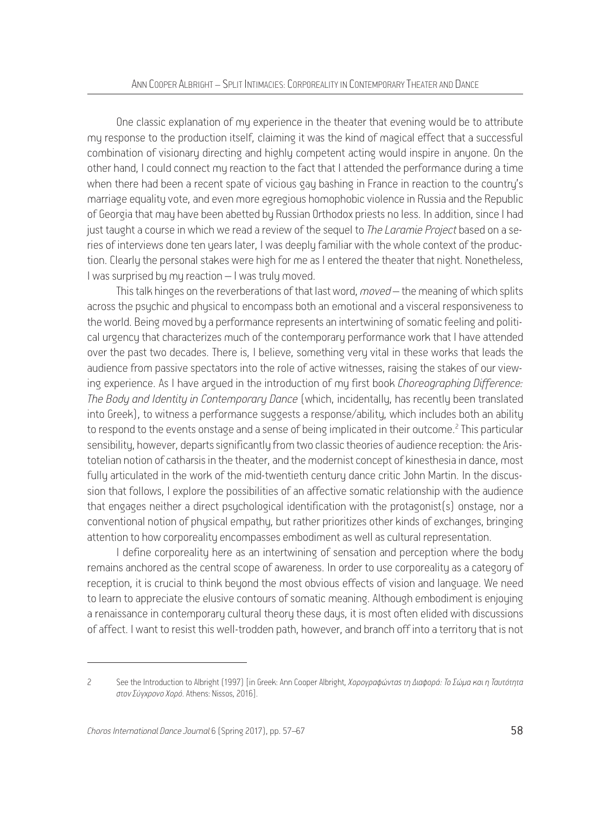One classic explanation of my experience in the theater that evening would be to attribute my response to the production itself, claiming it was the kind of magical effect that a successful combination of visionary directing and highly competent acting would inspire in anyone. On the other hand, I could connect my reaction to the fact that I attended the performance during a time when there had been a recent spate of vicious gay bashing in France in reaction to the country's marriage equality vote, and even more egregious homophobic violence in Russia and the Republic of Georgia that may have been abetted by Russian Orthodox priests no less. In addition, since I had just taught a course in which we read a review of the sequel to *The Laramie Project* based on a series of interviews done ten years later. I was deeply familiar with the whole context of the production. Clearly the personal stakes were high for me as I entered the theater that night. Nonetheless, I was surprised by my reaction – I was truly moved.

This talk hinges on the reverberations of that last word, *moved* – the meaning of which splits across the psychic and physical to encompass both an emotional and a visceral responsiveness to the world. Being moved by a performance represents an intertwining of somatic feeling and political urgency that characterizes much of the contemporary performance work that I have attended over the past two decades. There is, I believe, something very vital in these works that leads the audience from passive spectators into the role of active witnesses, raising the stakes of our viewing experience. As I have argued in the introduction of my first book *Choreographing Difference: The Body and Identity in Contemporary Dance* (which, incidentally, has recently been translated into Greek), to witness a performance suggests a response/ability, which includes both an ability to respond to the events onstage and a sense of being implicated in their outcome.<sup>2</sup> This particular sensibility, however, departs significantly from two classic theories of audience reception: the Aristotelian notion of catharsis in the theater, and the modernist concept of kinesthesia in dance, most fully articulated in the work of the mid-twentieth century dance critic John Martin. In the discussion that follows, I explore the possibilities of an affective somatic relationship with the audience that engages neither a direct psychological identification with the protagonist(s) onstage, nor a conventional notion of physical empathy, but rather prioritizes other kinds of exchanges, bringing attention to how corporeality encompasses embodiment as well as cultural representation.

I define corporeality here as an intertwining of sensation and perception where the body remains anchored as the central scope of awareness. In order to use corporeality as a category of reception, it is crucial to think beyond the most obvious effects of vision and language. We need to learn to appreciate the elusive contours of somatic meaning. Although embodiment is enjoying a renaissance in contemporary cultural theory these days, it is most often elided with discussions of affect. I want to resist this well-trodden path, however, and branch off into a territory that is not

<sup>2</sup> See the Introduction to Albright (1997) [in Greek: Ann Cooper Albright, *Χορογραφώντας τη Διαφορά: Το Σώμα και η Ταυτότητα στον Σύγχρονο Χορό*. Athens: Nissos, 2016].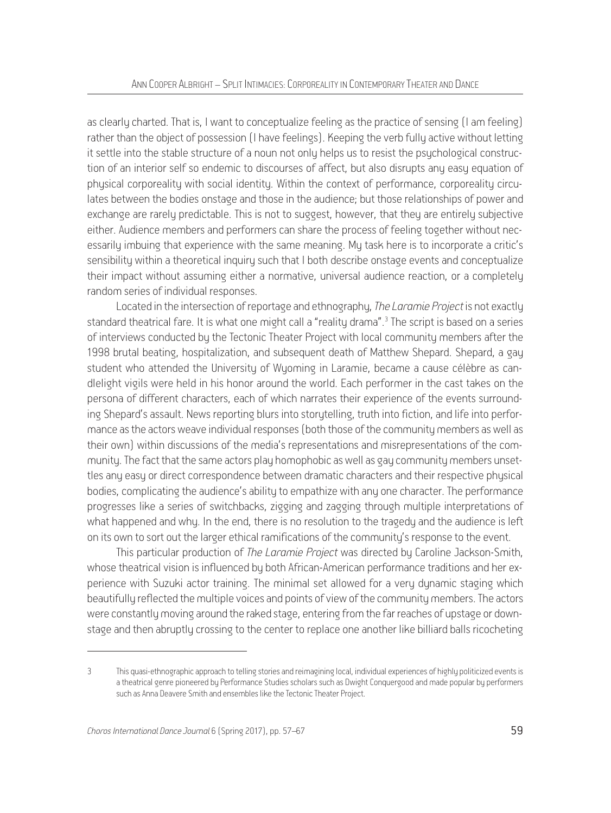as clearly charted. That is, I want to conceptualize feeling as the practice of sensing (I am feeling) rather than the object of possession (I have feelings). Keeping the verb fully active without letting it settle into the stable structure of a noun not only helps us to resist the psychological construction of an interior self so endemic to discourses of affect, but also disrupts any easy equation of physical corporeality with social identity. Within the context of performance, corporeality circulates between the bodies onstage and those in the audience; but those relationships of power and exchange are rarely predictable. This is not to suggest, however, that they are entirely subjective either. Audience members and performers can share the process of feeling together without necessarily imbuing that experience with the same meaning. My task here is to incorporate a critic's sensibility within a theoretical inquiry such that I both describe onstage events and conceptualize their impact without assuming either a normative, universal audience reaction, or a completely random series of individual responses.

Located in the intersection of reportage and ethnography, *The Laramie Project* is not exactly standard theatrical fare. It is what one might call a "reality drama".<sup>3</sup> The script is based on a series of interviews conducted by the Tectonic Theater Project with local community members after the 1998 brutal beating, hospitalization, and subsequent death of Matthew Shepard. Shepard, a gay student who attended the University of Wyoming in Laramie, became a cause célèbre as candlelight vigils were held in his honor around the world. Each performer in the cast takes on the persona of different characters, each of which narrates their experience of the events surrounding Shepard's assault. News reporting blurs into storytelling, truth into fiction, and life into performance as the actors weave individual responses (both those of the community members as well as their own) within discussions of the media's representations and misrepresentations of the community. The fact that the same actors play homophobic as well as gay community members unsettles any easy or direct correspondence between dramatic characters and their respective physical bodies, complicating the audience's ability to empathize with any one character. The performance progresses like a series of switchbacks, zigging and zagging through multiple interpretations of what happened and why. In the end, there is no resolution to the tragedy and the audience is left on its own to sort out the larger ethical ramifications of the community's response to the event.

This particular production of *The Laramie Project* was directed by Caroline Jackson-Smith, whose theatrical vision is influenced by both African-American performance traditions and her experience with Suzuki actor training. The minimal set allowed for a very dynamic staging which beautifully reflected the multiple voices and points of view of the community members. The actors were constantly moving around the raked stage, entering from the far reaches of upstage or downstage and then abruptly crossing to the center to replace one another like billiard balls ricocheting

<sup>3</sup> This quasi-ethnographic approach to telling stories and reimagining local, individual experiences of highly politicized events is a theatrical genre pioneered by Performance Studies scholars such as Dwight Conquergood and made popular by performers such as Anna Deavere Smith and ensembles like the Tectonic Theater Project.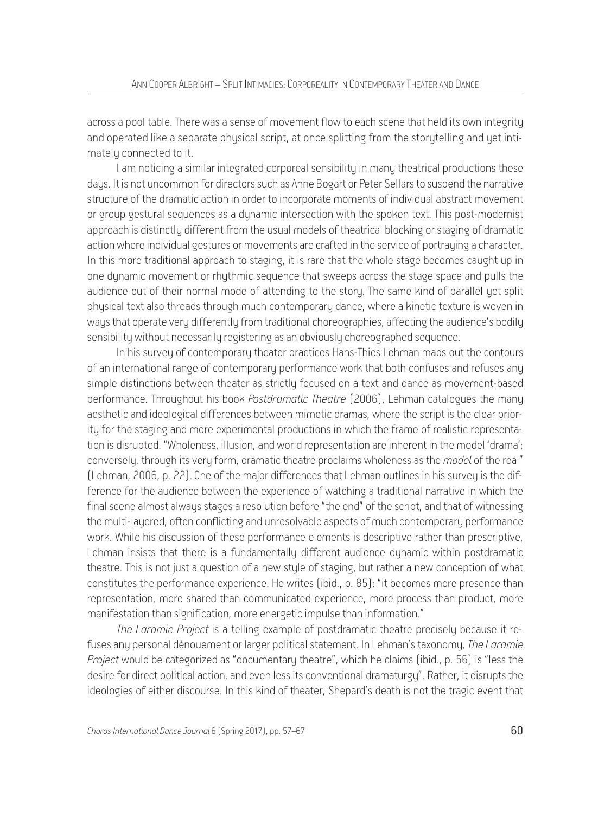across a pool table. There was a sense of movement flow to each scene that held its own integrity and operated like a separate physical script, at once splitting from the storytelling and yet intimately connected to it.

I am noticing a similar integrated corporeal sensibility in many theatrical productions these days. It is not uncommon for directors such as Anne Bogart or Peter Sellars to suspend the narrative structure of the dramatic action in order to incorporate moments of individual abstract movement or group gestural sequences as a dynamic intersection with the spoken text. This post-modernist approach is distinctly different from the usual models of theatrical blocking or staging of dramatic action where individual gestures or movements are crafted in the service of portrauing a character. In this more traditional approach to staging, it is rare that the whole stage becomes caught up in one dynamic movement or rhythmic sequence that sweeps across the stage space and pulls the audience out of their normal mode of attending to the story. The same kind of parallel yet split physical text also threads through much contemporary dance, where a kinetic texture is woven in ways that operate very differently from traditional choreographies, affecting the audience's bodily sensibility without necessarily registering as an obviously choreographed sequence.

In his survey of contemporary theater practices Hans-Thies Lehman maps out the contours of an international range of contemporary performance work that both confuses and refuses any simple distinctions between theater as strictly focused on a text and dance as movement-based performance. Throughout his book *Postdramatic Theatre* (2006), Lehman catalogues the many aesthetic and ideological differences between mimetic dramas, where the script is the clear priority for the staging and more experimental productions in which the frame of realistic representation is disrupted. "Wholeness, illusion, and world representation are inherent in the model 'drama'; conversely, through its very form, dramatic theatre proclaims wholeness as the *model* of the real" (Lehman, 2006, p. 22). One of the major differences that Lehman outlines in his survey is the difference for the audience between the experience of watching a traditional narrative in which the final scene almost always stages a resolution before "the end" of the script, and that of witnessing the multi-layered, often conflicting and unresolvable aspects of much contemporary performance work. While his discussion of these performance elements is descriptive rather than prescriptive, Lehman insists that there is a fundamentally different audience dynamic within postdramatic theatre. This is not just a question of a new style of staging, but rather a new conception of what constitutes the performance experience. He writes (ibid., p. 85): "it becomes more presence than representation, more shared than communicated experience, more process than product, more manifestation than signification, more energetic impulse than information."

*The Laramie Project* is a telling example of postdramatic theatre precisely because it refuses any personal dénouement or larger political statement. In Lehman's taxonomy, *The Laramie Project* would be categorized as "documentary theatre", which he claims (ibid., p. 56) is "less the desire for direct political action, and even less its conventional dramaturgy". Rather, it disrupts the ideologies of either discourse. In this kind of theater, Shepard's death is not the tragic event that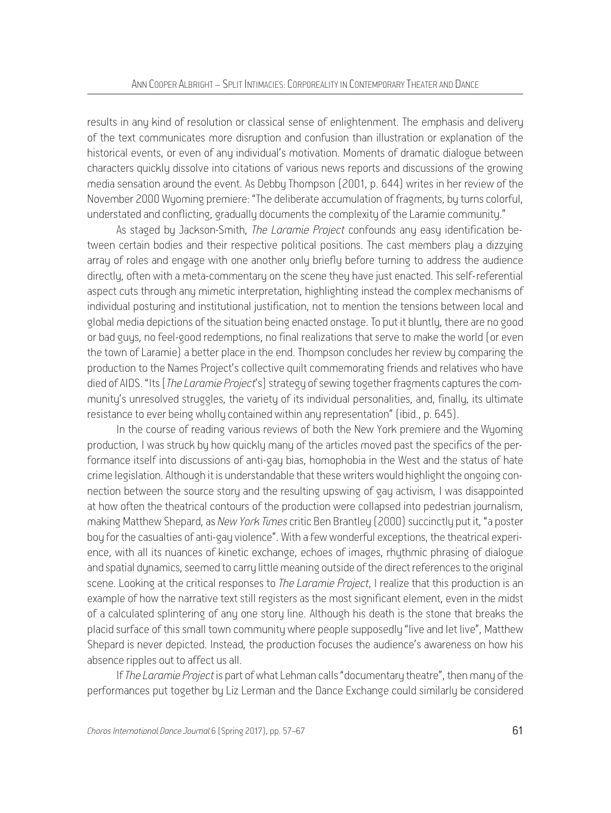results in any kind of resolution or classical sense of enlightenment. The emphasis and delivery of the text communicates more disruption and confusion than illustration or explanation of the historical events, or even of any individual's motivation. Moments of dramatic dialogue between characters quickly dissolve into citations of various news reports and discussions of the growing media sensation around the event. As Debby Thompson (2001, p. 644) writes in her review of the November 2000 Wyoming premiere: "The deliberate accumulation of fragments, by turns colorful, understated and conflicting, gradually documents the complexity of the Laramie community."

As staged by Jackson-Smith, *The Laramie Project* confounds any easy identification between certain bodies and their respective political positions. The cast members play a dizzying array of roles and engage with one another only briefly before turning to address the audience directly, often with a meta-commentary on the scene they have just enacted. This self-referential aspect cuts through any mimetic interpretation, highlighting instead the complex mechanisms of individual posturing and institutional justification, not to mention the tensions between local and global media depictions of the situation being enacted onstage. To put it bluntly, there are no good or bad guys, no feel-good redemptions, no final realizations that serve to make the world (or even the town of Laramie) a better place in the end. Thompson concludes her review by comparing the production to the Names Project's collective quilt commemorating friends and relatives who have died of AIDS. "Its [*The Laramie Project*'s] strategy of sewing together fragments captures the community's unresolved struggles, the variety of its individual personalities, and, finally, its ultimate resistance to ever being wholly contained within any representation" (ibid., p. 645).

In the course of reading various reviews of both the New York premiere and the Wyoming production, I was struck by how quickly many of the articles moved past the specifics of the performance itself into discussions of anti-gay bias, homophobia in the West and the status of hate crime legislation. Although it is understandable that these writers would highlight the ongoing connection between the source story and the resulting upswing of gay activism, I was disappointed at how often the theatrical contours of the production were collapsed into pedestrian journalism, making Matthew Shepard, as *New York Times* critic Ben Brantley (2000) succinctly put it, "a poster boy for the casualties of anti-gay violence". With a few wonderful exceptions, the theatrical experience, with all its nuances of kinetic exchange, echoes of images, rhythmic phrasing of dialogue and spatial dynamics, seemed to carry little meaning outside of the direct references to the original scene. Looking at the critical responses to *The Laramie Project*, I realize that this production is an example of how the narrative text still registers as the most significant element, even in the midst of a calculated splintering of any one story line. Although his death is the stone that breaks the placid surface of this small town community where people supposedly "live and let live", Matthew Shepard is never depicted. Instead, the production focuses the audience's awareness on how his absence ripples out to affect us all.

If *The Laramie Project* is part of what Lehman calls "documentary theatre", then many of the performances put together by Liz Lerman and the Dance Exchange could similarly be considered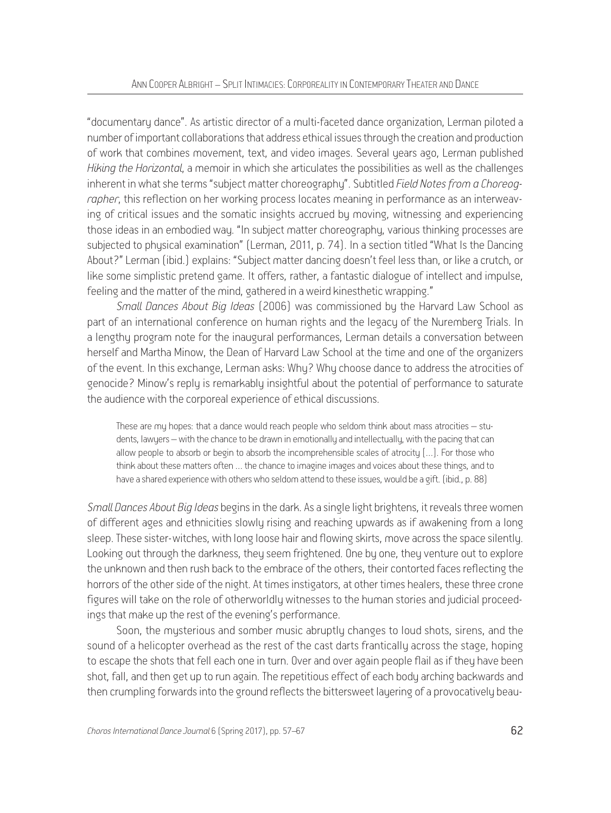"documentary dance". As artistic director of a multi-faceted dance organization, Lerman piloted a number of important collaborations that address ethical issues through the creation and production of work that combines movement, text, and video images. Several years ago, Lerman published *Hiking the Horizontal*, a memoir in which she articulates the possibilities as well as the challenges inherent in what she terms "subject matter choreography". Subtitled *Field Notes from a Choreographer*, this reflection on her working process locates meaning in performance as an interweaving of critical issues and the somatic insights accrued by moving, witnessing and experiencing those ideas in an embodied way. "In subject matter choreography, various thinking processes are subjected to physical examination" (Lerman, 2011, p. 74). In a section titled "What Is the Dancing About?" Lerman (ibid.) explains: "Subject matter dancing doesn't feel less than, or like a crutch, or like some simplistic pretend game. It offers, rather, a fantastic dialogue of intellect and impulse, feeling and the matter of the mind, gathered in a weird kinesthetic wrapping."

*Small Dances About Big Ideas* (2006) was commissioned by the Harvard Law School as part of an international conference on human rights and the legacy of the Nuremberg Trials. In a lengthy program note for the inaugural performances, Lerman details a conversation between herself and Martha Minow, the Dean of Harvard Law School at the time and one of the organizers of the event. In this exchange, Lerman asks: Why? Why choose dance to address the atrocities of genocide? Minow's reply is remarkably insightful about the potential of performance to saturate the audience with the corporeal experience of ethical discussions.

These are my hopes: that a dance would reach people who seldom think about mass atrocities – students, lawyers – with the chance to be drawn in emotionally and intellectually, with the pacing that can allow people to absorb or begin to absorb the incomprehensible scales of atrocity […]. For those who think about these matters often … the chance to imagine images and voices about these things, and to have a shared experience with others who seldom attend to these issues, would be a gift. (ibid., p. 88)

*Small Dances About Big Ideas* begins in the dark. As a single light brightens, it reveals three women of different ages and ethnicities slowly rising and reaching upwards as if awakening from a long sleep. These sister-witches, with long loose hair and flowing skirts, move across the space silently. Looking out through the darkness, they seem frightened. One by one, they venture out to explore the unknown and then rush back to the embrace of the others, their contorted faces reflecting the horrors of the other side of the night. At times instigators, at other times healers, these three crone figures will take on the role of otherworldly witnesses to the human stories and judicial proceedings that make up the rest of the evening's performance.

Soon, the mysterious and somber music abruptly changes to loud shots, sirens, and the sound of a helicopter overhead as the rest of the cast darts frantically across the stage, hoping to escape the shots that fell each one in turn. Over and over again people flail as if they have been shot, fall, and then get up to run again. The repetitious effect of each body arching backwards and then crumpling forwards into the ground reflects the bittersweet layering of a provocatively beau-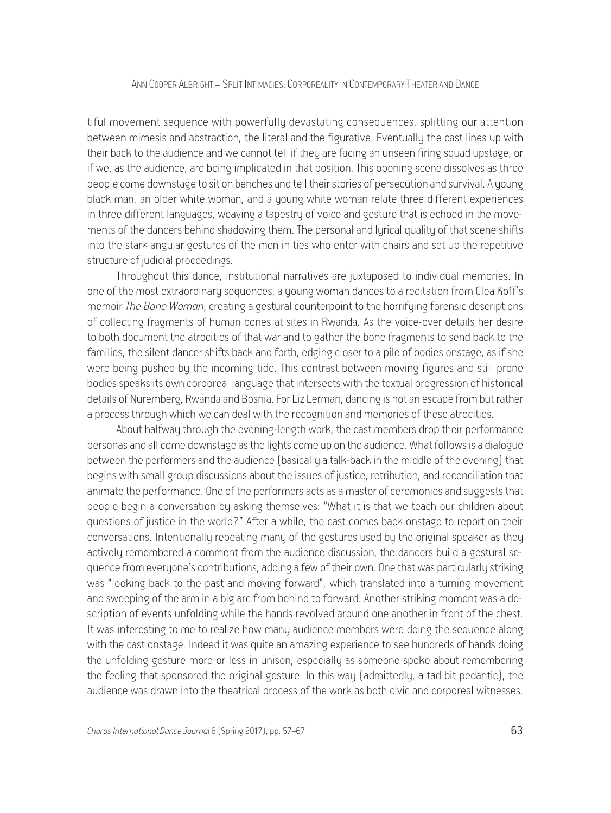tiful movement sequence with powerfully devastating consequences, splitting our attention between mimesis and abstraction, the literal and the figurative. Eventually the cast lines up with their back to the audience and we cannot tell if they are facing an unseen firing squad upstage, or if we, as the audience, are being implicated in that position. This opening scene dissolves as three people come downstage to sit on benches and tell their stories of persecution and survival. A young black man, an older white woman, and a young white woman relate three different experiences in three different languages, weaving a tapestry of voice and gesture that is echoed in the movements of the dancers behind shadowing them. The personal and lyrical quality of that scene shifts into the stark angular gestures of the men in ties who enter with chairs and set up the repetitive structure of judicial proceedings.

Throughout this dance, institutional narratives are juxtaposed to individual memories. In one of the most extraordinary sequences, a young woman dances to a recitation from Clea Koff's memoir *The Bone Woman*, creating a gestural counterpoint to the horrifying forensic descriptions of collecting fragments of human bones at sites in Rwanda. As the voice-over details her desire to both document the atrocities of that war and to gather the bone fragments to send back to the families, the silent dancer shifts back and forth, edging closer to a pile of bodies onstage, as if she were being pushed by the incoming tide. This contrast between moving figures and still prone bodies speaks its own corporeal language that intersects with the textual progression of historical details of Nuremberg, Rwanda and Bosnia. For Liz Lerman, dancing is not an escape from but rather a process through which we can deal with the recognition and memories of these atrocities.

About halfway through the evening-length work, the cast members drop their performance personas and all come downstage as the lights come up on the audience. What follows is a dialogue between the performers and the audience (basically a talk-back in the middle of the evening) that begins with small group discussions about the issues of justice, retribution, and reconciliation that animate the performance. One of the performers acts as a master of ceremonies and suggests that people begin a conversation by asking themselves: "What it is that we teach our children about questions of justice in the world?" After a while, the cast comes back onstage to report on their conversations. Intentionally repeating many of the gestures used by the original speaker as they actively remembered a comment from the audience discussion, the dancers build a gestural sequence from everyone's contributions, adding a few of their own. One that was particularly striking was "looking back to the past and moving forward", which translated into a turning movement and sweeping of the arm in a big arc from behind to forward. Another striking moment was a description of events unfolding while the hands revolved around one another in front of the chest. It was interesting to me to realize how many audience members were doing the sequence along with the cast onstage. Indeed it was quite an amazing experience to see hundreds of hands doing the unfolding gesture more or less in unison, especially as someone spoke about remembering the feeling that sponsored the original gesture. In this way (admittedly, a tad bit pedantic), the audience was drawn into the theatrical process of the work as both civic and corporeal witnesses.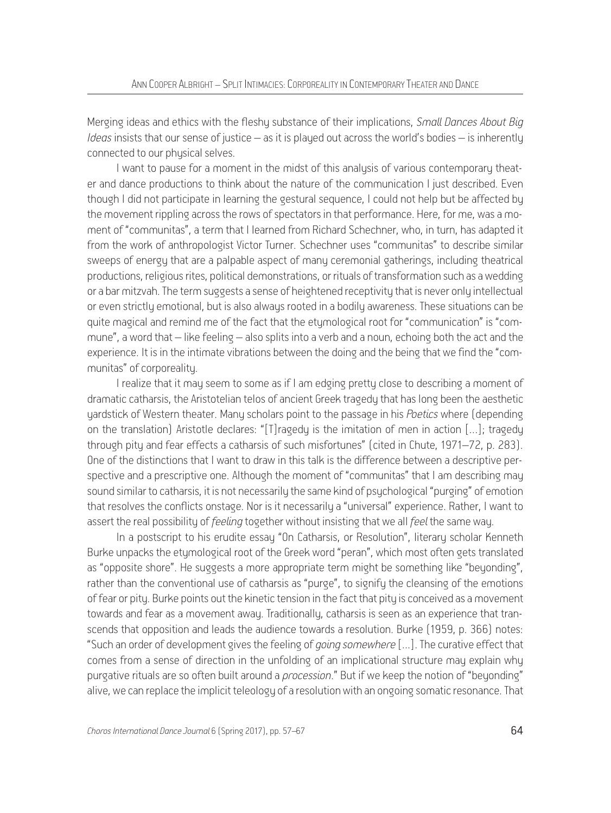Merging ideas and ethics with the fleshy substance of their implications, *Small Dances About Big Ideas* insists that our sense of justice – as it is played out across the world's bodies – is inherently connected to our physical selves.

I want to pause for a moment in the midst of this analysis of various contemporary theater and dance productions to think about the nature of the communication I just described. Even though I did not participate in learning the gestural sequence, I could not help but be affected by the movement rippling across the rows of spectators in that performance. Here, for me, was a moment of "communitas", a term that I learned from Richard Schechner, who, in turn, has adapted it from the work of anthropologist Victor Turner. Schechner uses "communitas" to describe similar sweeps of energy that are a palpable aspect of many ceremonial gatherings, including theatrical productions, religious rites, political demonstrations, or rituals of transformation such as a wedding or a bar mitzvah. The term suggests a sense of heightened receptivity that is never only intellectual or even strictly emotional, but is also always rooted in a bodily awareness. These situations can be quite magical and remind me of the fact that the etymological root for "communication" is "commune", a word that – like feeling – also splits into a verb and a noun, echoing both the act and the experience. It is in the intimate vibrations between the doing and the being that we find the "communitas" of corporeality.

I realize that it may seem to some as if I am edging pretty close to describing a moment of dramatic catharsis, the Aristotelian telos of ancient Greek tragedy that has long been the aesthetic yardstick of Western theater. Many scholars point to the passage in his *Poetics* where (depending on the translation) Aristotle declares: "[T]ragedy is the imitation of men in action […]; tragedy through pity and fear effects a catharsis of such misfortunes" (cited in Chute, 1971–72, p. 283). One of the distinctions that I want to draw in this talk is the difference between a descriptive perspective and a prescriptive one. Although the moment of "communitas" that I am describing may sound similar to catharsis, it is not necessarily the same kind of psychological "purging" of emotion that resolves the conflicts onstage. Nor is it necessarily a "universal" experience. Rather, I want to assert the real possibility of *feeling* together without insisting that we all *feel* the same way.

In a postscript to his erudite essay "On Catharsis, or Resolution", literary scholar Kenneth Burke unpacks the etymological root of the Greek word "peran", which most often gets translated as "opposite shore". He suggests a more appropriate term might be something like "beyonding", rather than the conventional use of catharsis as "purge", to signify the cleansing of the emotions of fear or pity. Burke points out the kinetic tension in the fact that pity is conceived as a movement towards and fear as a movement away. Traditionally, catharsis is seen as an experience that transcends that opposition and leads the audience towards a resolution. Burke (1959, p. 366) notes: "Such an order of development gives the feeling of *going somewhere* [...]. The curative effect that comes from a sense of direction in the unfolding of an implicational structure may explain why purgative rituals are so often built around a *procession*." But if we keep the notion of "beyonding" alive, we can replace the implicit teleology of a resolution with an ongoing somatic resonance. That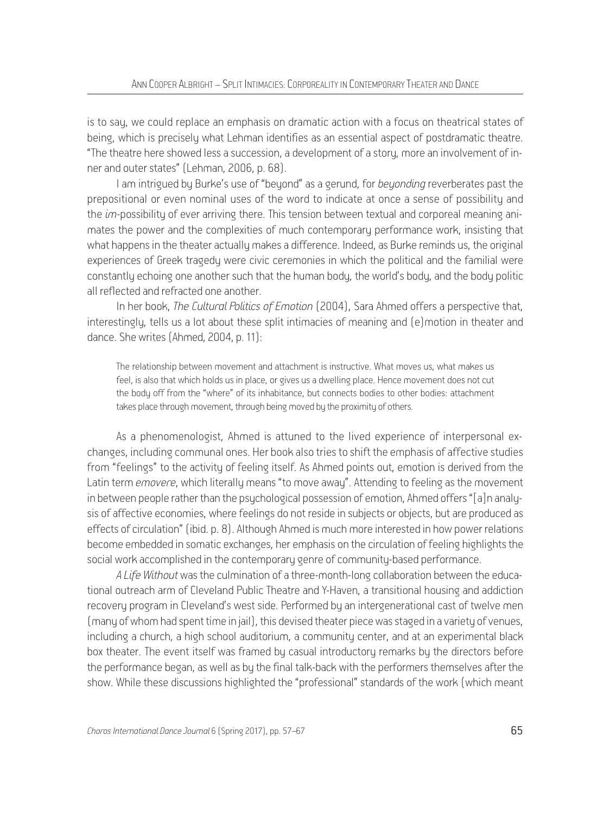is to say, we could replace an emphasis on dramatic action with a focus on theatrical states of being, which is precisely what Lehman identifies as an essential aspect of postdramatic theatre. "The theatre here showed less a succession, a development of a story, more an involvement of inner and outer states" (Lehman, 2006, p. 68).

I am intrigued by Burke's use of "beyond" as a gerund, for *beyonding* reverberates past the prepositional or even nominal uses of the word to indicate at once a sense of possibility and the *im-*possibility of ever arriving there. This tension between textual and corporeal meaning animates the power and the complexities of much contemporary performance work, insisting that what happens in the theater actually makes a difference. Indeed, as Burke reminds us, the original experiences of Greek tragedy were civic ceremonies in which the political and the familial were constantly echoing one another such that the human body, the world's body, and the body politic all reflected and refracted one another.

In her book, *The Cultural Politics of Emotion* (2004), Sara Ahmed offers a perspective that, interestingly, tells us a lot about these split intimacies of meaning and (e)motion in theater and dance. She writes (Ahmed, 2004, p. 11):

The relationship between movement and attachment is instructive. What moves us, what makes us feel, is also that which holds us in place, or gives us a dwelling place. Hence movement does not cut the body off from the "where" of its inhabitance, but connects bodies to other bodies: attachment takes place through movement, through being moved by the proximity of others.

As a phenomenologist, Ahmed is attuned to the lived experience of interpersonal exchanges, including communal ones. Her book also tries to shift the emphasis of affective studies from "feelings" to the activity of feeling itself. As Ahmed points out, emotion is derived from the Latin term *emovere*, which literally means "to move away". Attending to feeling as the movement in between people rather than the psychological possession of emotion, Ahmed offers "[a]n analysis of affective economies, where feelings do not reside in subjects or objects, but are produced as effects of circulation" (ibid. p. 8). Although Ahmed is much more interested in how power relations become embedded in somatic exchanges, her emphasis on the circulation of feeling highlights the social work accomplished in the contemporary genre of community-based performance.

*A Life Without* was the culmination of a three-month-long collaboration between the educational outreach arm of Cleveland Public Theatre and Y-Haven, a transitional housing and addiction recovery program in Cleveland's west side. Performed by an intergenerational cast of twelve men (many of whom had spent time in jail), this devised theater piece was staged in a variety of venues, including a church, a high school auditorium, a community center, and at an experimental black box theater. The event itself was framed by casual introductory remarks by the directors before the performance began, as well as by the final talk-back with the performers themselves after the show. While these discussions highlighted the "professional" standards of the work (which meant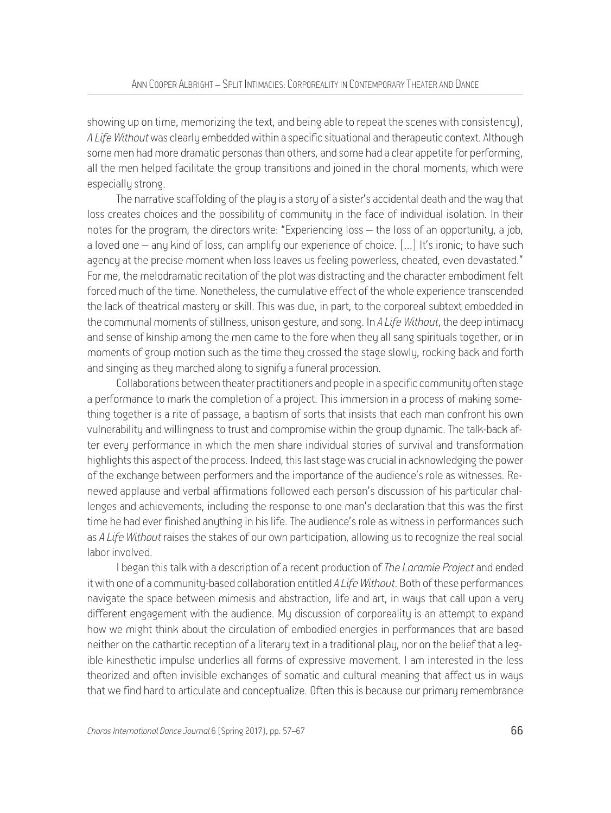showing up on time, memorizing the text, and being able to repeat the scenes with consistency), *A Life Without* was clearly embedded within a specific situational and therapeutic context. Although some men had more dramatic personas than others, and some had a clear appetite for performing, all the men helped facilitate the group transitions and joined in the choral moments, which were especially strong.

The narrative scaffolding of the play is a story of a sister's accidental death and the way that loss creates choices and the possibility of community in the face of individual isolation. In their notes for the program, the directors write: "Experiencing loss – the loss of an opportunity, a job, a loved one – any kind of loss, can amplify our experience of choice. [...] It's ironic; to have such agency at the precise moment when loss leaves us feeling powerless, cheated, even devastated." For me, the melodramatic recitation of the plot was distracting and the character embodiment felt forced much of the time. Nonetheless, the cumulative effect of the whole experience transcended the lack of theatrical mastery or skill. This was due, in part, to the corporeal subtext embedded in the communal moments of stillness, unison gesture, and song. In *A Life Without*, the deep intimacy and sense of kinship among the men came to the fore when they all sang spirituals together, or in moments of group motion such as the time they crossed the stage slowly, rocking back and forth and singing as they marched along to signify a funeral procession.

Collaborations between theater practitioners and people in a specific community often stage a performance to mark the completion of a project. This immersion in a process of making something together is a rite of passage, a baptism of sorts that insists that each man confront his own vulnerability and willingness to trust and compromise within the group dynamic. The talk-back after every performance in which the men share individual stories of survival and transformation highlights this aspect of the process. Indeed, this last stage was crucial in acknowledging the power of the exchange between performers and the importance of the audience's role as witnesses. Renewed applause and verbal affirmations followed each person's discussion of his particular challenges and achievements, including the response to one man's declaration that this was the first time he had ever finished anything in his life. The audience's role as witness in performances such as *A Life Without* raises the stakes of our own participation, allowing us to recognize the real social labor involved.

I began this talk with a description of a recent production of *The Laramie Project* and ended it with one of a community-based collaboration entitled *A Life Without*. Both of these performances navigate the space between mimesis and abstraction, life and art, in ways that call upon a very different engagement with the audience. My discussion of corporeality is an attempt to expand how we might think about the circulation of embodied energies in performances that are based neither on the cathartic reception of a literary text in a traditional play, nor on the belief that a legible kinesthetic impulse underlies all forms of expressive movement. I am interested in the less theorized and often invisible exchanges of somatic and cultural meaning that affect us in ways that we find hard to articulate and conceptualize. Often this is because our primary remembrance